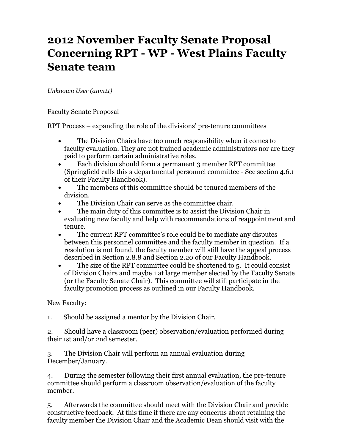## **2012 November Faculty Senate Proposal Concerning RPT - WP - West Plains Faculty Senate team**

*Unknown User (anm11)*

Faculty Senate Proposal

RPT Process – expanding the role of the divisions' pre-tenure committees

- The Division Chairs have too much responsibility when it comes to faculty evaluation. They are not trained academic administrators nor are they paid to perform certain administrative roles.
- Each division should form a permanent 3 member RPT committee (Springfield calls this a departmental personnel committee - See section 4.6.1 of their Faculty Handbook).
- The members of this committee should be tenured members of the division.
- The Division Chair can serve as the committee chair.
- The main duty of this committee is to assist the Division Chair in evaluating new faculty and help with recommendations of reappointment and tenure.
- The current RPT committee's role could be to mediate any disputes between this personnel committee and the faculty member in question. If a resolution is not found, the faculty member will still have the appeal process described in Section 2.8.8 and Section 2.20 of our Faculty Handbook.
- The size of the RPT committee could be shortened to 5. It could consist of Division Chairs and maybe 1 at large member elected by the Faculty Senate (or the Faculty Senate Chair). This committee will still participate in the faculty promotion process as outlined in our Faculty Handbook.

New Faculty:

1. Should be assigned a mentor by the Division Chair.

2. Should have a classroom (peer) observation/evaluation performed during their 1st and/or 2nd semester.

3. The Division Chair will perform an annual evaluation during December/January.

4. During the semester following their first annual evaluation, the pre-tenure committee should perform a classroom observation/evaluation of the faculty member.

5. Afterwards the committee should meet with the Division Chair and provide constructive feedback. At this time if there are any concerns about retaining the faculty member the Division Chair and the Academic Dean should visit with the